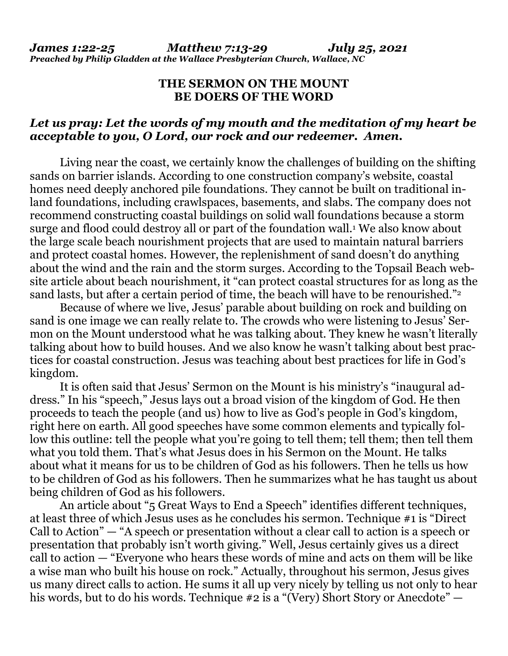## **THE SERMON ON THE MOUNT BE DOERS OF THE WORD**

## *Let us pray: Let the words of my mouth and the meditation of my heart be acceptable to you, O Lord, our rock and our redeemer. Amen.*

Living near the coast, we certainly know the challenges of building on the shifting sands on barrier islands. According to one construction company's website, coastal homes need deeply anchored pile foundations. They cannot be built on traditional inland foundations, including crawlspaces, basements, and slabs. The company does not recommend constructing coastal buildings on solid wall foundations because a storm surge and flood could destroy all or part of the foundation wall.<sup>1</sup> We also know about the large scale beach nourishment projects that are used to maintain natural barriers and protect coastal homes. However, the replenishment of sand doesn't do anything about the wind and the rain and the storm surges. According to the Topsail Beach website article about beach nourishment, it "can protect coastal structures for as long as the sand lasts, but after a certain period of time, the beach will have to be renourished."<sup>2</sup>

 Because of where we live, Jesus' parable about building on rock and building on sand is one image we can really relate to. The crowds who were listening to Jesus' Sermon on the Mount understood what he was talking about. They knew he wasn't literally talking about how to build houses. And we also know he wasn't talking about best practices for coastal construction. Jesus was teaching about best practices for life in God's kingdom.

 It is often said that Jesus' Sermon on the Mount is his ministry's "inaugural address." In his "speech," Jesus lays out a broad vision of the kingdom of God. He then proceeds to teach the people (and us) how to live as God's people in God's kingdom, right here on earth. All good speeches have some common elements and typically follow this outline: tell the people what you're going to tell them; tell them; then tell them what you told them. That's what Jesus does in his Sermon on the Mount. He talks about what it means for us to be children of God as his followers. Then he tells us how to be children of God as his followers. Then he summarizes what he has taught us about being children of God as his followers.

 An article about "5 Great Ways to End a Speech" identifies different techniques, at least three of which Jesus uses as he concludes his sermon. Technique #1 is "Direct Call to Action" — "A speech or presentation without a clear call to action is a speech or presentation that probably isn't worth giving." Well, Jesus certainly gives us a direct call to action — "Everyone who hears these words of mine and acts on them will be like a wise man who built his house on rock." Actually, throughout his sermon, Jesus gives us many direct calls to action. He sums it all up very nicely by telling us not only to hear his words, but to do his words. Technique #2 is a "(Very) Short Story or Anecdote" —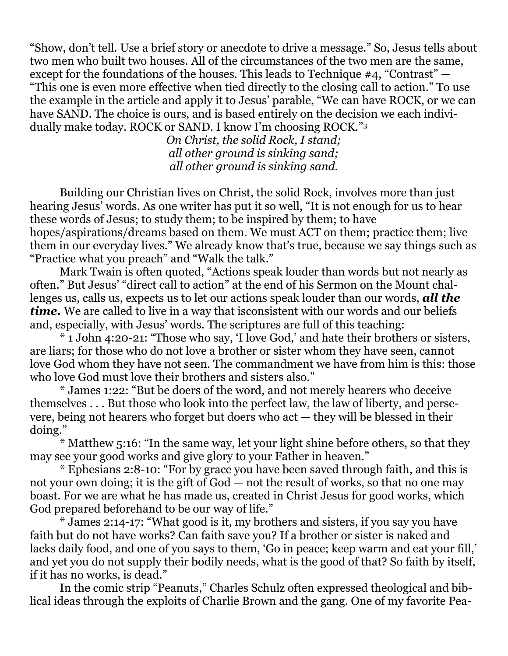"Show, don't tell. Use a brief story or anecdote to drive a message." So, Jesus tells about two men who built two houses. All of the circumstances of the two men are the same, except for the foundations of the houses. This leads to Technique #4, "Contrast" — "This one is even more effective when tied directly to the closing call to action." To use the example in the article and apply it to Jesus' parable, "We can have ROCK, or we can have SAND. The choice is ours, and is based entirely on the decision we each individually make today. ROCK or SAND. I know I'm choosing ROCK."<sup>3</sup>

> *On Christ, the solid Rock, I stand; all other ground is sinking sand; all other ground is sinking sand.*

 Building our Christian lives on Christ, the solid Rock, involves more than just hearing Jesus' words. As one writer has put it so well, "It is not enough for us to hear these words of Jesus; to study them; to be inspired by them; to have hopes/aspirations/dreams based on them. We must ACT on them; practice them; live them in our everyday lives." We already know that's true, because we say things such as "Practice what you preach" and "Walk the talk."

 Mark Twain is often quoted, "Actions speak louder than words but not nearly as often." But Jesus' "direct call to action" at the end of his Sermon on the Mount challenges us, calls us, expects us to let our actions speak louder than our words, *all the time.* We are called to live in a way that isconsistent with our words and our beliefs and, especially, with Jesus' words. The scriptures are full of this teaching:

 \* 1 John 4:20-21: "Those who say, 'I love God,' and hate their brothers or sisters, are liars; for those who do not love a brother or sister whom they have seen, cannot love God whom they have not seen. The commandment we have from him is this: those who love God must love their brothers and sisters also."

 \* James 1:22: "But be doers of the word, and not merely hearers who deceive themselves . . . But those who look into the perfect law, the law of liberty, and persevere, being not hearers who forget but doers who act — they will be blessed in their doing."

 \* Matthew 5:16: "In the same way, let your light shine before others, so that they may see your good works and give glory to your Father in heaven."

 \* Ephesians 2:8-10: "For by grace you have been saved through faith, and this is not your own doing; it is the gift of God — not the result of works, so that no one may boast. For we are what he has made us, created in Christ Jesus for good works, which God prepared beforehand to be our way of life."

 \* James 2:14-17: "What good is it, my brothers and sisters, if you say you have faith but do not have works? Can faith save you? If a brother or sister is naked and lacks daily food, and one of you says to them, 'Go in peace; keep warm and eat your fill,' and yet you do not supply their bodily needs, what is the good of that? So faith by itself, if it has no works, is dead."

 In the comic strip "Peanuts," Charles Schulz often expressed theological and biblical ideas through the exploits of Charlie Brown and the gang. One of my favorite Pea-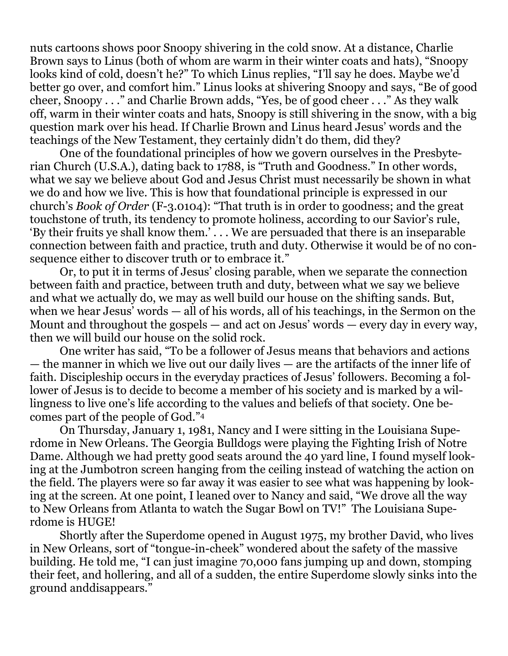nuts cartoons shows poor Snoopy shivering in the cold snow. At a distance, Charlie Brown says to Linus (both of whom are warm in their winter coats and hats), "Snoopy looks kind of cold, doesn't he?" To which Linus replies, "I'll say he does. Maybe we'd better go over, and comfort him." Linus looks at shivering Snoopy and says, "Be of good cheer, Snoopy . . ." and Charlie Brown adds, "Yes, be of good cheer . . ." As they walk off, warm in their winter coats and hats, Snoopy is still shivering in the snow, with a big question mark over his head. If Charlie Brown and Linus heard Jesus' words and the teachings of the New Testament, they certainly didn't do them, did they?

 One of the foundational principles of how we govern ourselves in the Presbyterian Church (U.S.A.), dating back to 1788, is "Truth and Goodness." In other words, what we say we believe about God and Jesus Christ must necessarily be shown in what we do and how we live. This is how that foundational principle is expressed in our church's *Book of Order* (F-3.0104): "That truth is in order to goodness; and the great touchstone of truth, its tendency to promote holiness, according to our Savior's rule, 'By their fruits ye shall know them.' . . . We are persuaded that there is an inseparable connection between faith and practice, truth and duty. Otherwise it would be of no consequence either to discover truth or to embrace it."

 Or, to put it in terms of Jesus' closing parable, when we separate the connection between faith and practice, between truth and duty, between what we say we believe and what we actually do, we may as well build our house on the shifting sands. But, when we hear Jesus' words — all of his words, all of his teachings, in the Sermon on the Mount and throughout the gospels — and act on Jesus' words — every day in every way, then we will build our house on the solid rock.

 One writer has said, "To be a follower of Jesus means that behaviors and actions — the manner in which we live out our daily lives — are the artifacts of the inner life of faith. Discipleship occurs in the everyday practices of Jesus' followers. Becoming a follower of Jesus is to decide to become a member of his society and is marked by a willingness to live one's life according to the values and beliefs of that society. One becomes part of the people of God."<sup>4</sup>

 On Thursday, January 1, 1981, Nancy and I were sitting in the Louisiana Superdome in New Orleans. The Georgia Bulldogs were playing the Fighting Irish of Notre Dame. Although we had pretty good seats around the 40 yard line, I found myself looking at the Jumbotron screen hanging from the ceiling instead of watching the action on the field. The players were so far away it was easier to see what was happening by looking at the screen. At one point, I leaned over to Nancy and said, "We drove all the way to New Orleans from Atlanta to watch the Sugar Bowl on TV!" The Louisiana Superdome is HUGE!

 Shortly after the Superdome opened in August 1975, my brother David, who lives in New Orleans, sort of "tongue-in-cheek" wondered about the safety of the massive building. He told me, "I can just imagine 70,000 fans jumping up and down, stomping their feet, and hollering, and all of a sudden, the entire Superdome slowly sinks into the ground anddisappears."